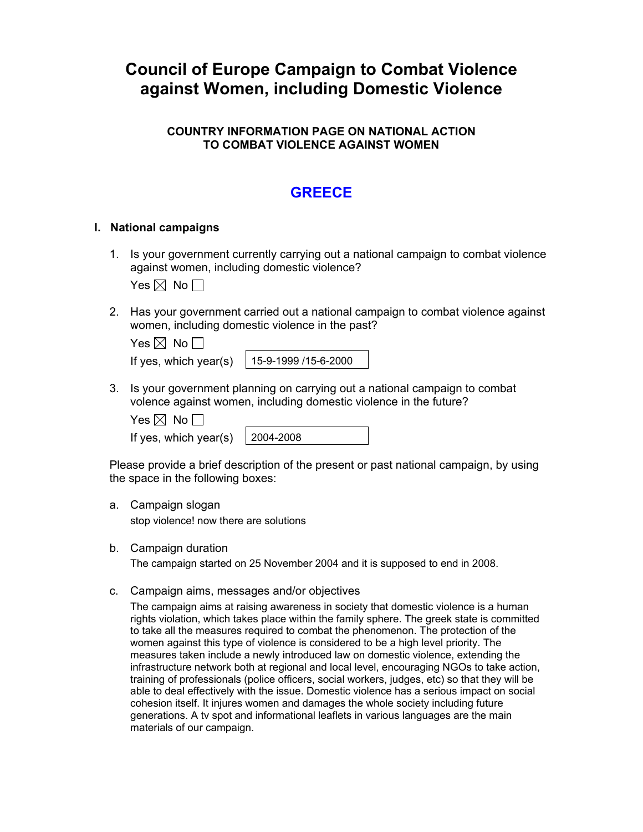# **Council of Europe Campaign to Combat Violence against Women, including Domestic Violence**

### **COUNTRY INFORMATION PAGE ON NATIONAL ACTION TO COMBAT VIOLENCE AGAINST WOMEN**

## **GREECE**

#### **I. National campaigns**

1. Is your government currently carrying out a national campaign to combat violence against women, including domestic violence?

Yes  $\boxtimes$  No  $\Box$ 

2. Has your government carried out a national campaign to combat violence against women, including domestic violence in the past?

| Yes $\boxtimes$ No $\Box$ |                      |
|---------------------------|----------------------|
| If yes, which year(s)     | 15-9-1999 /15-6-2000 |

3. Is your government planning on carrying out a national campaign to combat volence against women, including domestic violence in the future?

Yes  $\boxtimes$  No  $\Box$ 

If yes, which year(s)  $\vert$  2004-2008

Please provide a brief description of the present or past national campaign, by using the space in the following boxes:

a. Campaign slogan

stop violence! now there are solutions

b. Campaign duration

The campaign started on 25 November 2004 and it is supposed to end in 2008.

c. Campaign aims, messages and/or objectives

The campaign aims at raising awareness in society that domestic violence is a human rights violation, which takes place within the family sphere. The greek state is committed to take all the measures required to combat the phenomenon. The protection of the women against this type of violence is considered to be a high level priority. The measures taken include a newly introduced law on domestic violence, extending the infrastructure network both at regional and local level, encouraging NGOs to take action, training of professionals (police officers, social workers, judges, etc) so that they will be able to deal effectively with the issue. Domestic violence has a serious impact on social cohesion itself. It injures women and damages the whole society including future generations. A tv spot and informational leaflets in various languages are the main materials of our campaign.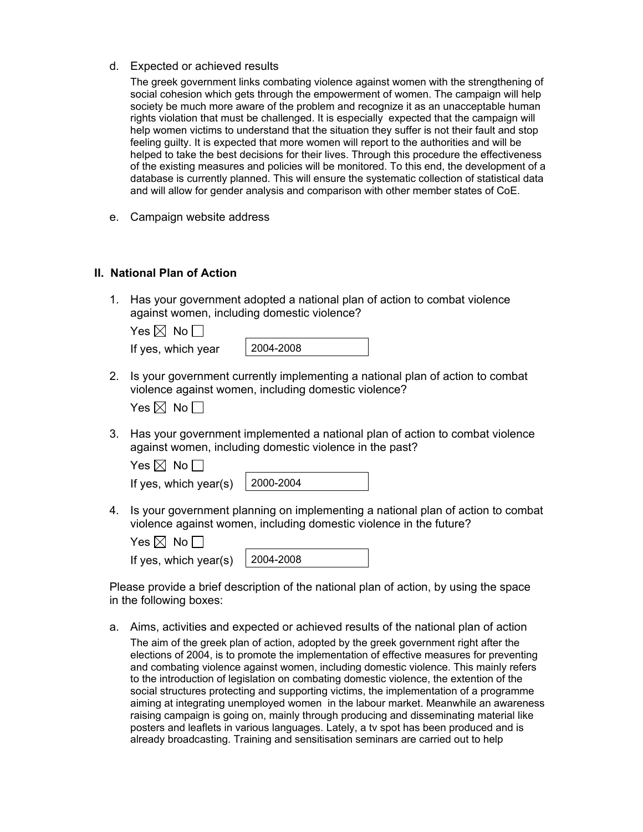d. Expected or achieved results

The greek government links combating violence against women with the strengthening of social cohesion which gets through the empowerment of women. The campaign will help society be much more aware of the problem and recognize it as an unacceptable human rights violation that must be challenged. It is especially expected that the campaign will help women victims to understand that the situation they suffer is not their fault and stop feeling guilty. It is expected that more women will report to the authorities and will be helped to take the best decisions for their lives. Through this procedure the effectiveness of the existing measures and policies will be monitored. To this end, the development of a database is currently planned. This will ensure the systematic collection of statistical data and will allow for gender analysis and comparison with other member states of CoE.

e. Campaign website address

### **II. National Plan of Action**

1. Has your government adopted a national plan of action to combat violence against women, including domestic violence?

| Yes $\boxtimes$ No $\Box$ |           |
|---------------------------|-----------|
| If yes, which year        | 2004-2008 |

2. Is your government currently implementing a national plan of action to combat violence against women, including domestic violence?

| es I⊠l | No |  |
|--------|----|--|
|--------|----|--|

3. Has your government implemented a national plan of action to combat violence against women, including domestic violence in the past?

| Yes $\boxtimes$ No $\Box$               |  |
|-----------------------------------------|--|
| If yes, which year(s) $\vert$ 2000-2004 |  |

4. Is your government planning on implementing a national plan of action to combat violence against women, including domestic violence in the future?

| Yes $\boxtimes$ No $\Box$ |  |  |
|---------------------------|--|--|
|                           |  |  |

|  | If yes, which year(s) $\vert$ 2004-2008 |  |
|--|-----------------------------------------|--|
|--|-----------------------------------------|--|

Please provide a brief description of the national plan of action, by using the space in the following boxes:

- a. Aims, activities and expected or achieved results of the national plan of action
	- The aim of the greek plan of action, adopted by the greek government right after the elections of 2004, is to promote the implementation of effective measures for preventing and combating violence against women, including domestic violence. This mainly refers to the introduction of legislation on combating domestic violence, the extention of the social structures protecting and supporting victims, the implementation of a programme aiming at integrating unemployed women in the labour market. Meanwhile an awareness raising campaign is going on, mainly through producing and disseminating material like posters and leaflets in various languages. Lately, a tv spot has been produced and is already broadcasting. Training and sensitisation seminars are carried out to help